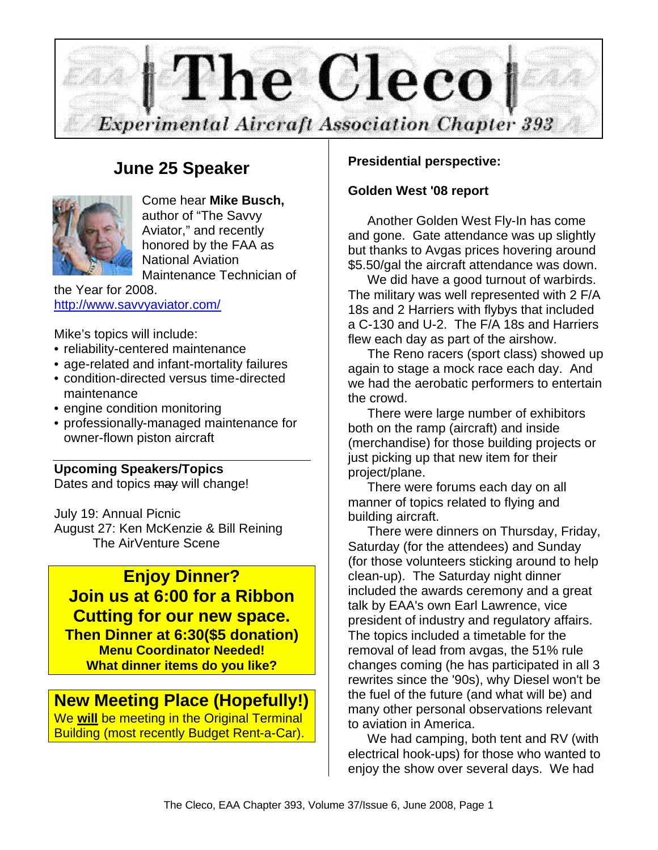

# **June 25 Speaker**



Come hear **Mike Busch,** author of "The Savvy Aviator," and recently honored by the FAA as National Aviation Maintenance Technician of

the Year for 2008. http://www.savvyaviator.com/

Mike's topics will include:

- reliability-centered maintenance
- age-related and infant-mortality failures
- condition-directed versus time-directed maintenance
- engine condition monitoring
- professionally-managed maintenance for owner-flown piston aircraft

#### **Upcoming Speakers/Topics**

Dates and topics may will change!

July 19: Annual Picnic August 27: Ken McKenzie & Bill Reining The AirVenture Scene

### **Enjoy Dinner? Join us at 6:00 for a Ribbon Cutting for our new space. Then Dinner at 6:30(\$5 donation) Menu Coordinator Needed! What dinner items do you like?**

### **New Meeting Place (Hopefully!)**

We **will** be meeting in the Original Terminal Building (most recently Budget Rent-a-Car).

### **Presidential perspective:**

#### **Golden West '08 report**

Another Golden West Fly-In has come and gone. Gate attendance was up slightly but thanks to Avgas prices hovering around \$5.50/gal the aircraft attendance was down.

We did have a good turnout of warbirds. The military was well represented with 2 F/A 18s and 2 Harriers with flybys that included a C-130 and U-2. The F/A 18s and Harriers flew each day as part of the airshow.

The Reno racers (sport class) showed up again to stage a mock race each day. And we had the aerobatic performers to entertain the crowd.

There were large number of exhibitors both on the ramp (aircraft) and inside (merchandise) for those building projects or just picking up that new item for their project/plane.

There were forums each day on all manner of topics related to flying and building aircraft.

There were dinners on Thursday, Friday, Saturday (for the attendees) and Sunday (for those volunteers sticking around to help clean-up). The Saturday night dinner included the awards ceremony and a great talk by EAA's own Earl Lawrence, vice president of industry and regulatory affairs. The topics included a timetable for the removal of lead from avgas, the 51% rule changes coming (he has participated in all 3 rewrites since the '90s), why Diesel won't be the fuel of the future (and what will be) and many other personal observations relevant to aviation in America.

We had camping, both tent and RV (with electrical hook-ups) for those who wanted to enjoy the show over several days. We had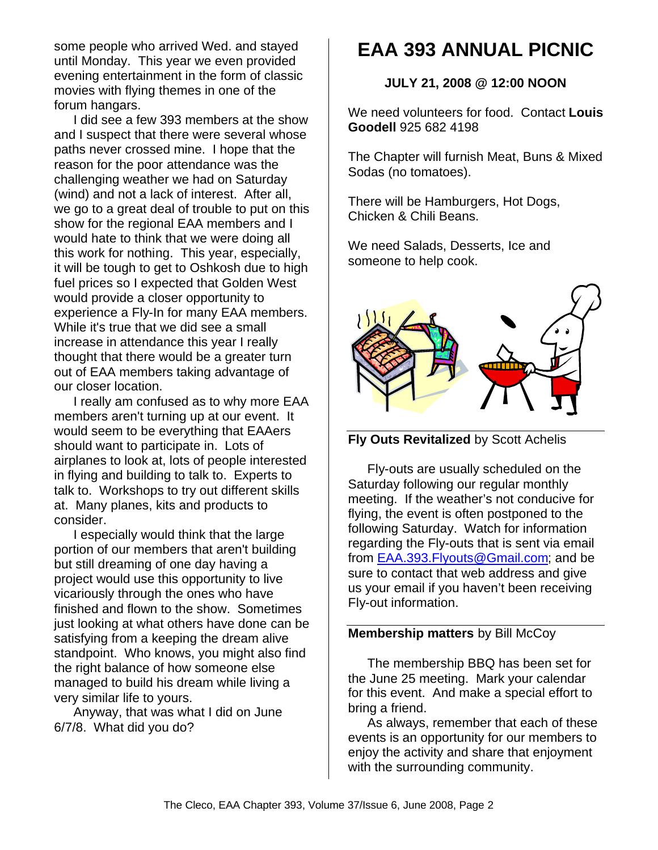some people who arrived Wed. and stayed until Monday. This year we even provided evening entertainment in the form of classic movies with flying themes in one of the forum hangars.

I did see a few 393 members at the show and I suspect that there were several whose paths never crossed mine. I hope that the reason for the poor attendance was the challenging weather we had on Saturday (wind) and not a lack of interest. After all, we go to a great deal of trouble to put on this show for the regional EAA members and I would hate to think that we were doing all this work for nothing. This year, especially, it will be tough to get to Oshkosh due to high fuel prices so I expected that Golden West would provide a closer opportunity to experience a Fly-In for many EAA members. While it's true that we did see a small increase in attendance this year I really thought that there would be a greater turn out of EAA members taking advantage of our closer location.

I really am confused as to why more EAA members aren't turning up at our event. It would seem to be everything that EAAers should want to participate in. Lots of airplanes to look at, lots of people interested in flying and building to talk to. Experts to talk to. Workshops to try out different skills at. Many planes, kits and products to consider.

I especially would think that the large portion of our members that aren't building but still dreaming of one day having a project would use this opportunity to live vicariously through the ones who have finished and flown to the show. Sometimes just looking at what others have done can be satisfying from a keeping the dream alive standpoint. Who knows, you might also find the right balance of how someone else managed to build his dream while living a very similar life to yours.

Anyway, that was what I did on June 6/7/8. What did you do?

# **EAA 393 ANNUAL PICNIC**

#### **JULY 21, 2008 @ 12:00 NOON**

We need volunteers for food. Contact **Louis Goodell** 925 682 4198

The Chapter will furnish Meat, Buns & Mixed Sodas (no tomatoes).

There will be Hamburgers, Hot Dogs, Chicken & Chili Beans.

We need Salads, Desserts, Ice and someone to help cook.





Fly-outs are usually scheduled on the Saturday following our regular monthly meeting. If the weather's not conducive for flying, the event is often postponed to the following Saturday. Watch for information regarding the Fly-outs that is sent via email from EAA.393.Flyouts@Gmail.com; and be sure to contact that web address and give us your email if you haven't been receiving Fly-out information.

#### **Membership matters** by Bill McCoy

The membership BBQ has been set for the June 25 meeting. Mark your calendar for this event. And make a special effort to bring a friend.

As always, remember that each of these events is an opportunity for our members to enjoy the activity and share that enjoyment with the surrounding community.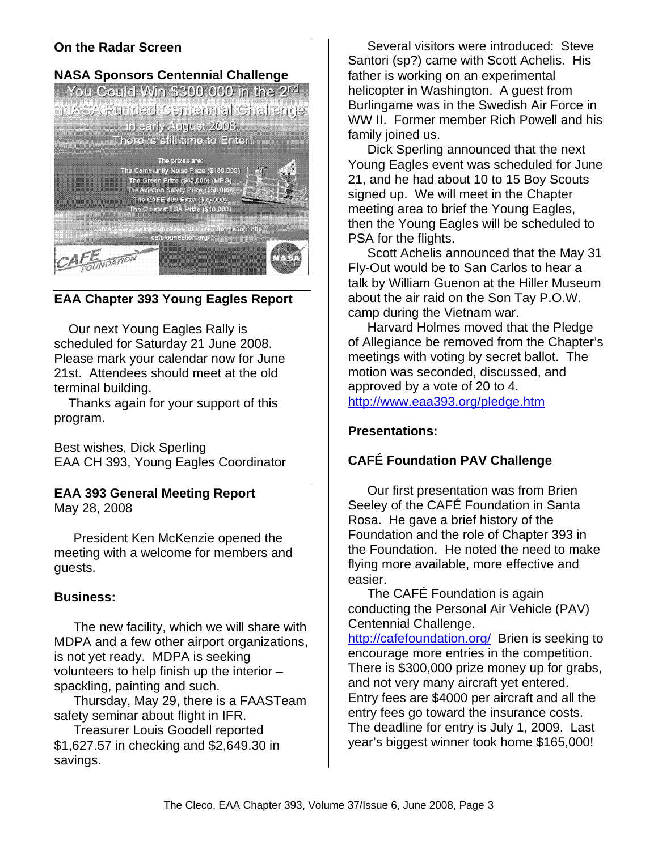#### **On the Radar Screen**



**EAA Chapter 393 Young Eagles Report**

Our next Young Eagles Rally is scheduled for Saturday 21 June 2008. Please mark your calendar now for June 21st. Attendees should meet at the old terminal building.

Thanks again for your support of this program.

Best wishes, Dick Sperling EAA CH 393, Young Eagles Coordinator

**EAA 393 General Meeting Report** May 28, 2008

President Ken McKenzie opened the meeting with a welcome for members and guests.

#### **Business:**

The new facility, which we will share with MDPA and a few other airport organizations, is not yet ready. MDPA is seeking volunteers to help finish up the interior – spackling, painting and such.

Thursday, May 29, there is a FAASTeam safety seminar about flight in IFR.

Treasurer Louis Goodell reported \$1,627.57 in checking and \$2,649.30 in savings.

Several visitors were introduced: Steve Santori (sp?) came with Scott Achelis. His father is working on an experimental helicopter in Washington. A guest from Burlingame was in the Swedish Air Force in WW II. Former member Rich Powell and his family joined us.

Dick Sperling announced that the next Young Eagles event was scheduled for June 21, and he had about 10 to 15 Boy Scouts signed up. We will meet in the Chapter meeting area to brief the Young Eagles, then the Young Eagles will be scheduled to PSA for the flights.

Scott Achelis announced that the May 31 Fly-Out would be to San Carlos to hear a talk by William Guenon at the Hiller Museum about the air raid on the Son Tay P.O.W. camp during the Vietnam war.

Harvard Holmes moved that the Pledge of Allegiance be removed from the Chapter's meetings with voting by secret ballot. The motion was seconded, discussed, and approved by a vote of 20 to 4. http://www.eaa393.org/pledge.htm

### **Presentations:**

### **CAFÉ Foundation PAV Challenge**

Our first presentation was from Brien Seeley of the CAFÉ Foundation in Santa Rosa. He gave a brief history of the Foundation and the role of Chapter 393 in the Foundation. He noted the need to make flying more available, more effective and easier.

The CAFÉ Foundation is again conducting the Personal Air Vehicle (PAV) Centennial Challenge.

http://cafefoundation.org/ Brien is seeking to encourage more entries in the competition. There is \$300,000 prize money up for grabs, and not very many aircraft yet entered. Entry fees are \$4000 per aircraft and all the entry fees go toward the insurance costs. The deadline for entry is July 1, 2009. Last year's biggest winner took home \$165,000!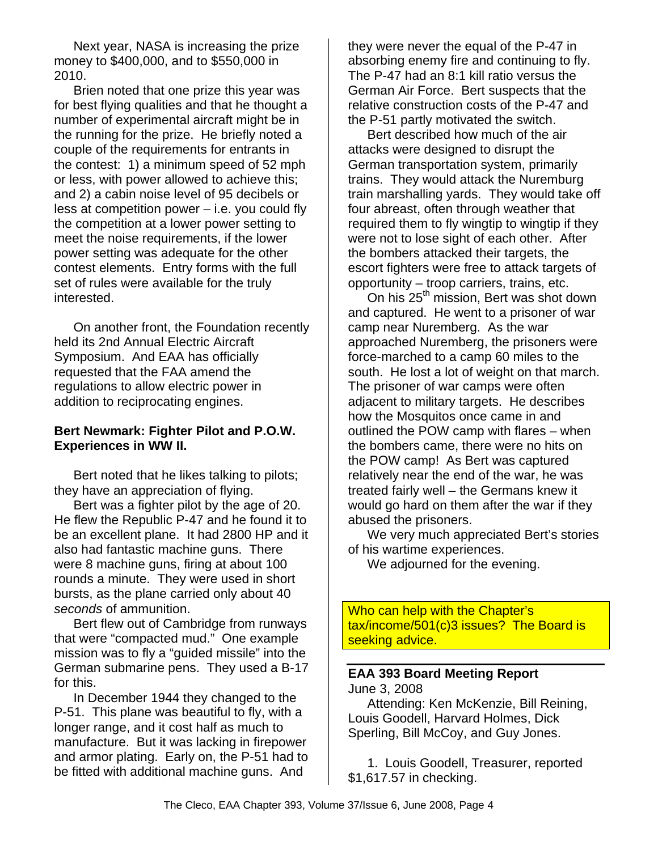Next year, NASA is increasing the prize money to \$400,000, and to \$550,000 in 2010.

Brien noted that one prize this year was for best flying qualities and that he thought a number of experimental aircraft might be in the running for the prize. He briefly noted a couple of the requirements for entrants in the contest: 1) a minimum speed of 52 mph or less, with power allowed to achieve this; and 2) a cabin noise level of 95 decibels or less at competition power – i.e. you could fly the competition at a lower power setting to meet the noise requirements, if the lower power setting was adequate for the other contest elements. Entry forms with the full set of rules were available for the truly interested.

On another front, the Foundation recently held its 2nd Annual Electric Aircraft Symposium. And EAA has officially requested that the FAA amend the regulations to allow electric power in addition to reciprocating engines.

#### **Bert Newmark: Fighter Pilot and P.O.W. Experiences in WW II.**

Bert noted that he likes talking to pilots; they have an appreciation of flying.

Bert was a fighter pilot by the age of 20. He flew the Republic P-47 and he found it to be an excellent plane. It had 2800 HP and it also had fantastic machine guns. There were 8 machine guns, firing at about 100 rounds a minute. They were used in short bursts, as the plane carried only about 40 *seconds* of ammunition.

Bert flew out of Cambridge from runways that were "compacted mud." One example mission was to fly a "guided missile" into the German submarine pens. They used a B-17 for this.

In December 1944 they changed to the P-51. This plane was beautiful to fly, with a longer range, and it cost half as much to manufacture. But it was lacking in firepower and armor plating. Early on, the P-51 had to be fitted with additional machine guns. And

they were never the equal of the P-47 in absorbing enemy fire and continuing to fly. The P-47 had an 8:1 kill ratio versus the German Air Force. Bert suspects that the relative construction costs of the P-47 and the P-51 partly motivated the switch.

Bert described how much of the air attacks were designed to disrupt the German transportation system, primarily trains. They would attack the Nuremburg train marshalling yards. They would take off four abreast, often through weather that required them to fly wingtip to wingtip if they were not to lose sight of each other. After the bombers attacked their targets, the escort fighters were free to attack targets of opportunity – troop carriers, trains, etc.

On his 25<sup>th</sup> mission, Bert was shot down and captured. He went to a prisoner of war camp near Nuremberg. As the war approached Nuremberg, the prisoners were force-marched to a camp 60 miles to the south. He lost a lot of weight on that march. The prisoner of war camps were often adjacent to military targets. He describes how the Mosquitos once came in and outlined the POW camp with flares – when the bombers came, there were no hits on the POW camp! As Bert was captured relatively near the end of the war, he was treated fairly well – the Germans knew it would go hard on them after the war if they abused the prisoners.

We very much appreciated Bert's stories of his wartime experiences.

We adjourned for the evening.

Who can help with the Chapter's tax/income/501(c)3 issues? The Board is seeking advice.

# **EAA 393 Board Meeting Report**

June 3, 2008 Attending: Ken McKenzie, Bill Reining, Louis Goodell, Harvard Holmes, Dick Sperling, Bill McCoy, and Guy Jones.

1. Louis Goodell, Treasurer, reported \$1,617.57 in checking.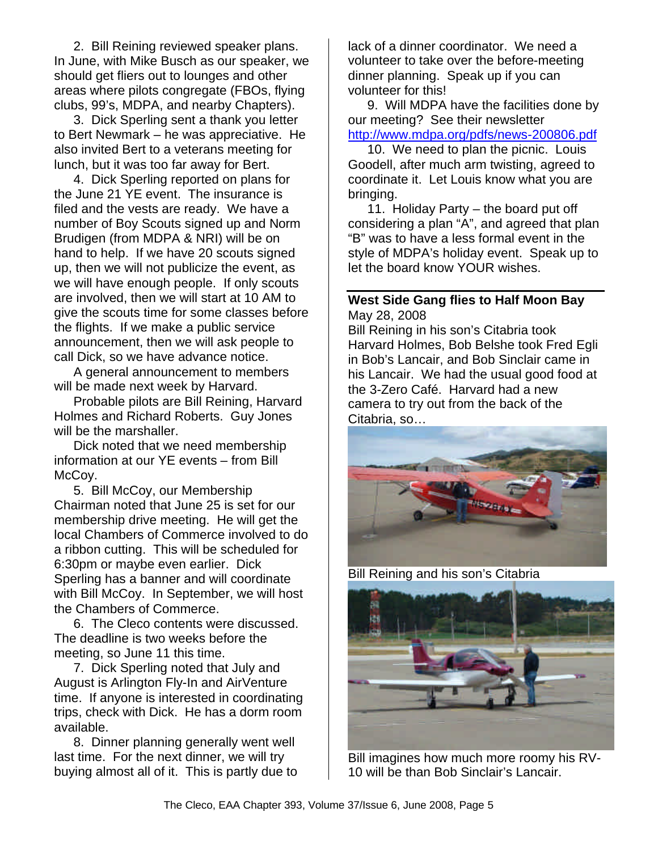2. Bill Reining reviewed speaker plans. In June, with Mike Busch as our speaker, we should get fliers out to lounges and other areas where pilots congregate (FBOs, flying clubs, 99's, MDPA, and nearby Chapters).

3. Dick Sperling sent a thank you letter to Bert Newmark – he was appreciative. He also invited Bert to a veterans meeting for lunch, but it was too far away for Bert.

4. Dick Sperling reported on plans for the June 21 YE event. The insurance is filed and the vests are ready. We have a number of Boy Scouts signed up and Norm Brudigen (from MDPA & NRI) will be on hand to help. If we have 20 scouts signed up, then we will not publicize the event, as we will have enough people. If only scouts are involved, then we will start at 10 AM to give the scouts time for some classes before the flights. If we make a public service announcement, then we will ask people to call Dick, so we have advance notice.

A general announcement to members will be made next week by Harvard.

Probable pilots are Bill Reining, Harvard Holmes and Richard Roberts. Guy Jones will be the marshaller.

Dick noted that we need membership information at our YE events – from Bill McCoy.

5. Bill McCoy, our Membership Chairman noted that June 25 is set for our membership drive meeting. He will get the local Chambers of Commerce involved to do a ribbon cutting. This will be scheduled for 6:30pm or maybe even earlier. Dick Sperling has a banner and will coordinate with Bill McCoy. In September, we will host the Chambers of Commerce.

6. The Cleco contents were discussed. The deadline is two weeks before the meeting, so June 11 this time.

7. Dick Sperling noted that July and August is Arlington Fly-In and AirVenture time. If anyone is interested in coordinating trips, check with Dick. He has a dorm room available.

8. Dinner planning generally went well last time. For the next dinner, we will try buying almost all of it. This is partly due to

lack of a dinner coordinator. We need a volunteer to take over the before-meeting dinner planning. Speak up if you can volunteer for this!

9. Will MDPA have the facilities done by our meeting? See their newsletter http://www.mdpa.org/pdfs/news-200806.pdf

10. We need to plan the picnic. Louis Goodell, after much arm twisting, agreed to coordinate it. Let Louis know what you are bringing.

11. Holiday Party – the board put off considering a plan "A", and agreed that plan "B" was to have a less formal event in the style of MDPA's holiday event. Speak up to let the board know YOUR wishes.

#### **West Side Gang flies to Half Moon Bay** May 28, 2008

Bill Reining in his son's Citabria took Harvard Holmes, Bob Belshe took Fred Egli in Bob's Lancair, and Bob Sinclair came in his Lancair. We had the usual good food at the 3-Zero Café. Harvard had a new camera to try out from the back of the Citabria, so…



Bill Reining and his son's Citabria



Bill imagines how much more roomy his RV-10 will be than Bob Sinclair's Lancair.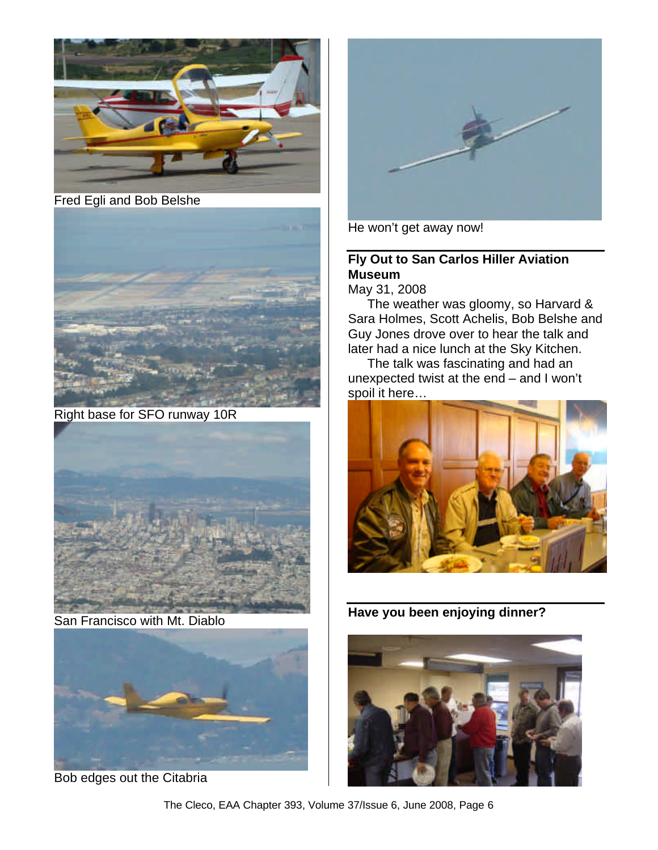

Fred Egli and Bob Belshe



Right base for SFO runway 10R



San Francisco with Mt. Diablo



Bob edges out the Citabria



He won't get away now!

## **Fly Out to San Carlos Hiller Aviation Museum**

May 31, 2008

The weather was gloomy, so Harvard & Sara Holmes, Scott Achelis, Bob Belshe and Guy Jones drove over to hear the talk and later had a nice lunch at the Sky Kitchen.

The talk was fascinating and had an unexpected twist at the end – and I won't spoil it here…



**Have you been enjoying dinner?**



The Cleco, EAA Chapter 393, Volume 37/Issue 6, June 2008, Page 6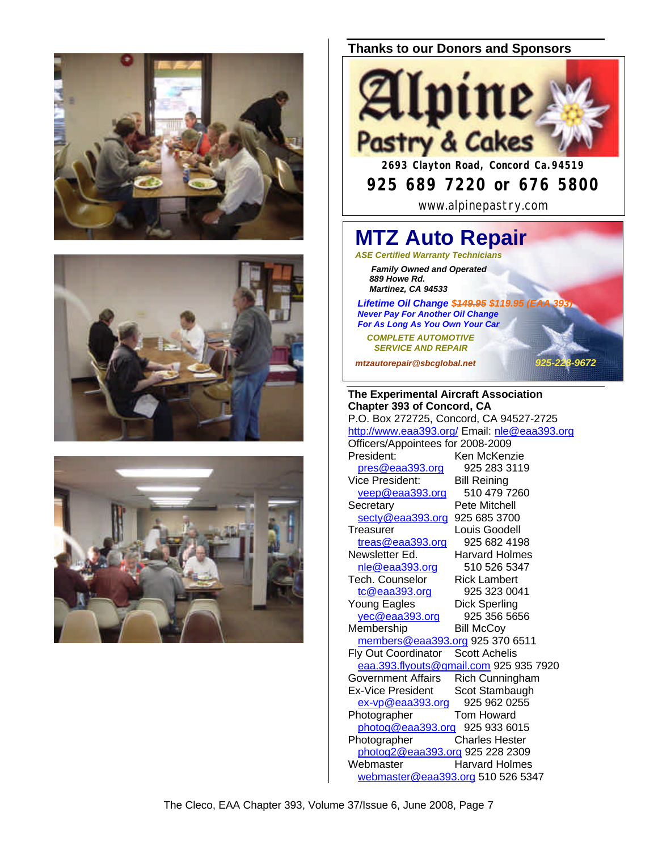





#### **Thanks to our Donors and Sponsors**



# **925 689 7220 or 676 5800**

www.alpinepastry.com

### **MTZ Auto Repair** *ASE Certified Warranty Technicians*

 *Family Owned and Operated 889 Howe Rd. Martinez, CA 94533*

**Lifetime Oil Change \$449.95 \$119.95 (E**  *Never Pay For Another Oil Change For As Long As You Own Your Car*

 *COMPLETE AUTOMOTIVE SERVICE AND REPAIR*

*mtzautorepair@sbcglobal.net 925-228-9672*

**The Experimental Aircraft Association Chapter 393 of Concord, CA** P.O. Box 272725, Concord, CA 94527-2725 http://www.eaa393.org/ Email: nle@eaa393.org Officers/Appointees for 2008-2009 President: Ken McKenzie pres@eaa393.org 925 283 3119 Vice President: Bill Reining<br>
veep@eaa393.org 510 479 7260  $veep@eaa393.org$ Secretary Pete Mitchell secty@eaa393.org 925 685 3700 Treasurer Louis Goodell treas@eaa393.org 925 682 4198 Newsletter Ed. Harvard Holmes nle@eaa393.org 510 526 5347 Tech. Counselor Rick Lambert tc@eaa393.org 925 323 0041 Young Eagles Dick Sperling yec@eaa393.org 925 356 5656 Membership Bill McCoy members@eaa393.org 925 370 6511<br>v Out Coordinator Scott Achelis Fly Out Coordinator eaa.393.flyouts@gmail.com 925 935 7920<br>Government Affairs Rich Cunningham Rich Cunningham Ex-Vice President Scot Stambaugh ex-vp@eaa393.org 925 962 0255 Photographer Tom Howard photog@eaa393.org 925 933 6015 Photographer Charles Hester photog2@eaa393.org 925 228 2309 Webmaster Harvard Holmes webmaster@eaa393.org 510 526 5347